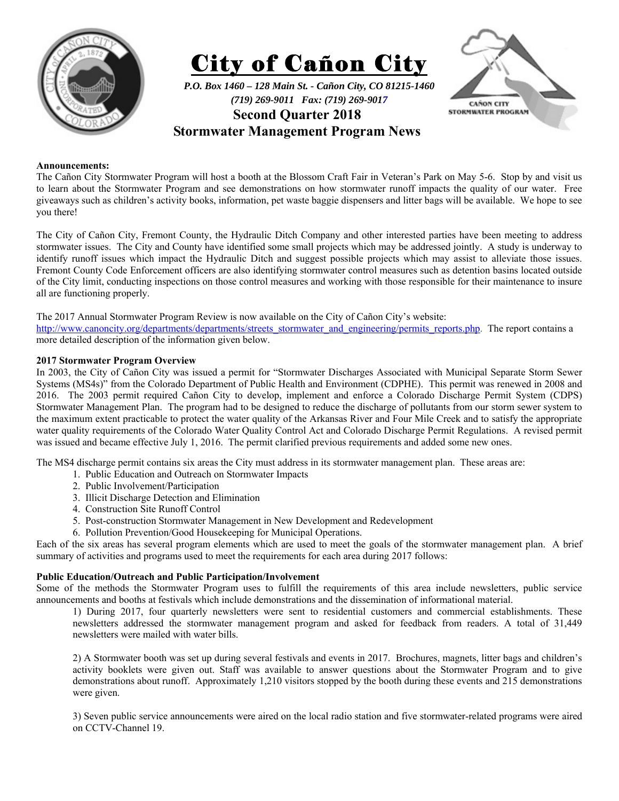





**Stormwater Management Program News** 

# **Announcements:**

The Cañon City Stormwater Program will host a booth at the Blossom Craft Fair in Veteran's Park on May 5-6. Stop by and visit us to learn about the Stormwater Program and see demonstrations on how stormwater runoff impacts the quality of our water. Free giveaways such as children's activity books, information, pet waste baggie dispensers and litter bags will be available. We hope to see you there!

The City of Cañon City, Fremont County, the Hydraulic Ditch Company and other interested parties have been meeting to address stormwater issues. The City and County have identified some small projects which may be addressed jointly. A study is underway to identify runoff issues which impact the Hydraulic Ditch and suggest possible projects which may assist to alleviate those issues. Fremont County Code Enforcement officers are also identifying stormwater control measures such as detention basins located outside of the City limit, conducting inspections on those control measures and working with those responsible for their maintenance to insure all are functioning properly.

## The 2017 Annual Stormwater Program Review is now available on the City of Cañon City's website:

http://www.canoncity.org/departments/departments/streets\_stormwater\_and\_engineering/permits\_reports.php. The report contains a more detailed description of the information given below.

## **2017 Stormwater Program Overview**

In 2003, the City of Cañon City was issued a permit for "Stormwater Discharges Associated with Municipal Separate Storm Sewer Systems (MS4s)" from the Colorado Department of Public Health and Environment (CDPHE). This permit was renewed in 2008 and 2016. The 2003 permit required Cañon City to develop, implement and enforce a Colorado Discharge Permit System (CDPS) Stormwater Management Plan. The program had to be designed to reduce the discharge of pollutants from our storm sewer system to the maximum extent practicable to protect the water quality of the Arkansas River and Four Mile Creek and to satisfy the appropriate water quality requirements of the Colorado Water Quality Control Act and Colorado Discharge Permit Regulations. A revised permit was issued and became effective July 1, 2016. The permit clarified previous requirements and added some new ones.

The MS4 discharge permit contains six areas the City must address in its stormwater management plan. These areas are:

- 1. Public Education and Outreach on Stormwater Impacts
- 2. Public Involvement/Participation
- 3. Illicit Discharge Detection and Elimination
- 4. Construction Site Runoff Control
- 5. Post-construction Stormwater Management in New Development and Redevelopment
- 6. Pollution Prevention/Good Housekeeping for Municipal Operations.

Each of the six areas has several program elements which are used to meet the goals of the stormwater management plan. A brief summary of activities and programs used to meet the requirements for each area during 2017 follows:

## **Public Education/Outreach and Public Participation/Involvement**

Some of the methods the Stormwater Program uses to fulfill the requirements of this area include newsletters, public service announcements and booths at festivals which include demonstrations and the dissemination of informational material.

1) During 2017, four quarterly newsletters were sent to residential customers and commercial establishments. These newsletters addressed the stormwater management program and asked for feedback from readers. A total of 31,449 newsletters were mailed with water bills.

2) A Stormwater booth was set up during several festivals and events in 2017. Brochures, magnets, litter bags and children's activity booklets were given out. Staff was available to answer questions about the Stormwater Program and to give demonstrations about runoff. Approximately 1,210 visitors stopped by the booth during these events and 215 demonstrations were given.

3) Seven public service announcements were aired on the local radio station and five stormwater-related programs were aired on CCTV-Channel 19.